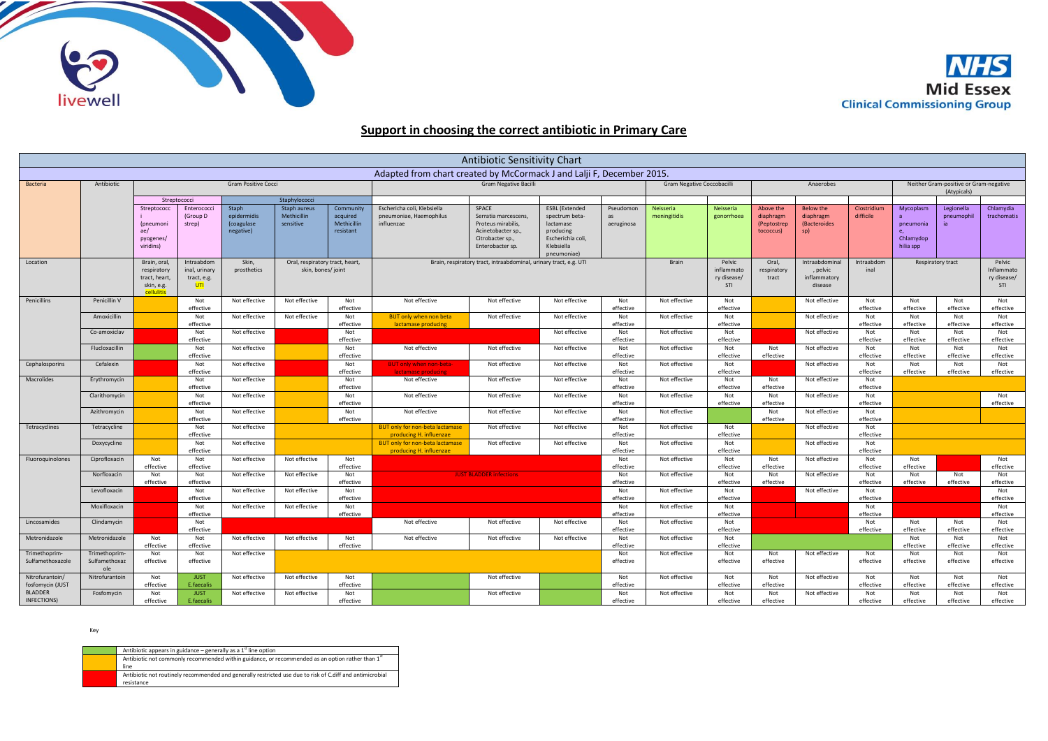



## **Support in choosing the correct antibiotic in Primary Care**

| Antibiotic Sensitivity Chart                                          |                                       |                                                                         |                                                   |                                                                              |                                                 |                                                                   |                                                                      |                                                                                                                  |                                                                                                                     |                               |                                            |                               |                                                       |                                                      |                                                       |                                                        |                                 |                               |
|-----------------------------------------------------------------------|---------------------------------------|-------------------------------------------------------------------------|---------------------------------------------------|------------------------------------------------------------------------------|-------------------------------------------------|-------------------------------------------------------------------|----------------------------------------------------------------------|------------------------------------------------------------------------------------------------------------------|---------------------------------------------------------------------------------------------------------------------|-------------------------------|--------------------------------------------|-------------------------------|-------------------------------------------------------|------------------------------------------------------|-------------------------------------------------------|--------------------------------------------------------|---------------------------------|-------------------------------|
| Adapted from chart created by McCormack J and Lalji F, December 2015. |                                       |                                                                         |                                                   |                                                                              |                                                 |                                                                   |                                                                      |                                                                                                                  |                                                                                                                     |                               |                                            |                               |                                                       |                                                      |                                                       |                                                        |                                 |                               |
| <b>Bacteria</b>                                                       | Antibiotic                            | <b>Gram Positive Cocci</b>                                              |                                                   |                                                                              |                                                 | <b>Gram Negative Bacilli</b>                                      |                                                                      |                                                                                                                  |                                                                                                                     | Gram Negative Coccobacilli    |                                            | Anaerobes                     |                                                       |                                                      | Neither Gram-positive or Gram-negative<br>(Atypicals) |                                                        |                                 |                               |
|                                                                       |                                       | Streptococci                                                            |                                                   | Staphylococci                                                                |                                                 |                                                                   |                                                                      |                                                                                                                  |                                                                                                                     |                               |                                            |                               |                                                       |                                                      |                                                       |                                                        |                                 |                               |
|                                                                       |                                       | Streptococc<br><i>(pneumoni</i><br>ae/<br>pyogenes/<br>viridins)        | Enterococci<br>(Group D<br>strep)                 | Staph<br>epidermidis<br>(coagulase<br>negative)                              | Staph aureus<br><b>Methicillin</b><br>sensitive | Community<br>acquired<br>Methicillin<br>resistant                 | Eschericha coli, Klebsiella<br>pneumoniae, Haemophilus<br>influenzae | SPACE<br>Serratia marcescens<br>Proteus mirabilis.<br>Acinetobacter sp.,<br>Citrobacter sp.,<br>Enterobacter sp. | <b>ESBL</b> (Extended<br>spectrum beta-<br>lactamase<br>producing<br>Escherichia coli,<br>Klebsiella<br>pneumoniae) | Pseudomon<br>as<br>aeruginosa | Neisseria<br>meningitidis                  | Neisseria<br>gonorrhoea       | Above the<br>diaphragm<br>(Peptostrep<br>tococcus)    | <b>Below the</b><br>diaphragm<br>(Bacteroides<br>sp) | Clostridium<br>difficile                              | Mycoplasm<br>pneumonia<br>e.<br>Chlamydop<br>hilia spp | Legionella<br>pneumophil<br>ia. | Chlamydia<br>trachomatis      |
| Location                                                              |                                       | Brain, oral<br>respiratory<br>tract, heart,<br>skin, e.g.<br>cellulitis | Intraabdom<br>inal, urinary<br>tract, e.g.<br>UTI | Skin,<br>Oral, respiratory tract, heart,<br>prosthetics<br>skin, bones/joint |                                                 | Brain, respiratory tract, intraabdominal, urinary tract, e.g. UTI |                                                                      |                                                                                                                  |                                                                                                                     | Brain                         | Pelvic<br>inflammato<br>ry disease/<br>STI | Oral,<br>respiratory<br>tract | Intraabdominal<br>, pelvic<br>inflammatory<br>disease | Intraabdom<br>inal                                   | Pelvic<br>Respiratory tract<br>STI                    |                                                        | Inflammato<br>ry disease/       |                               |
| Penicillins                                                           | Penicillin V                          |                                                                         | Not<br>effective                                  | Not effective                                                                | Not effective                                   | Not<br>effective                                                  | Not effective                                                        | Not effective                                                                                                    | Not effective                                                                                                       | Not<br>effective              | Not effective                              | Not<br>effective              |                                                       | Not effective                                        | Not<br>effective                                      | Not<br>effective                                       | Not<br>effective                | Not<br>effective              |
|                                                                       | Amoxicillin                           |                                                                         | Not<br>effective                                  | Not effective                                                                | Not effective                                   | Not<br>effective                                                  | <b>BUT only when non beta</b><br>lactamase producing                 | Not effective                                                                                                    | Not effective                                                                                                       | Not<br>effective              | Not effective                              | Not<br>effective              |                                                       | Not effective                                        | Not<br>effective                                      | Not<br>effective                                       | Not<br>effective                | Not<br>effective              |
|                                                                       | Co-amoxiclav                          |                                                                         | Not<br>effective                                  | Not effective                                                                |                                                 | Not<br>effective                                                  |                                                                      |                                                                                                                  | Not effective                                                                                                       | Not<br>effective              | Not effective                              | Not<br>effective              |                                                       | Not effective                                        | Not<br>effective                                      | Not<br>effective                                       | Not<br>effective                | Not<br>effective              |
|                                                                       | Flucloxacillin                        |                                                                         | Not<br>effective                                  | Not effective                                                                |                                                 | Not<br>effective                                                  | Not effective                                                        | Not effective                                                                                                    | Not effective                                                                                                       | Not<br>effective              | Not effective                              | Not<br>effective              | Not<br>effective                                      | Not effective                                        | Not<br>effective                                      | Not<br>effective                                       | Not<br>effective                | Not<br>effective              |
| Cephalosporins                                                        | Cefalexin                             |                                                                         | Not<br>effective                                  | Not effective                                                                |                                                 | Not<br>effective                                                  | <b>BUT only when non-beta-</b><br>lactamase producing                | Not effective                                                                                                    | Not effective                                                                                                       | Not<br>effective              | Not effective                              | Not<br>effective              |                                                       | Not effective                                        | Not<br>effective                                      | Not<br>effective                                       | Not<br>effective                | Not<br>effective              |
| Macrolides                                                            | Erythromycin                          |                                                                         | Not                                               | Not effective                                                                |                                                 | Not                                                               | Not effective                                                        | Not effective                                                                                                    | Not effective                                                                                                       | Not                           | Not effective                              | Not                           | Not                                                   | Not effective                                        | Not                                                   |                                                        |                                 |                               |
|                                                                       | Clarithomycin                         |                                                                         | effective<br>Not                                  | Not effective                                                                |                                                 | effective<br>Not                                                  | Not effective                                                        | Not effective                                                                                                    | Not effective                                                                                                       | effective<br>Not              | Not effective                              | effective<br>Not              | effective<br>Not                                      | Not effective                                        | effective<br>Not                                      |                                                        |                                 | Not                           |
|                                                                       | Azithromycin                          |                                                                         | effective<br>Not                                  | Not effective                                                                |                                                 | effective<br>Not                                                  | Not effective                                                        | Not effective                                                                                                    | Not effective                                                                                                       | effective<br>Not              | Not effective                              | effective                     | effective<br>Not                                      | Not effective                                        | effective<br>Not                                      |                                                        |                                 | effective                     |
| Tetracyclines                                                         | Tetracycline                          |                                                                         | effective<br>Not                                  | Not effective                                                                |                                                 | effective                                                         | <b>BUT only for non-beta lactamase</b>                               | Not effective                                                                                                    | Not effective                                                                                                       | effective<br>Not              | Not effective                              | Not                           | effective                                             | Not effective                                        | effective<br>Not                                      |                                                        |                                 |                               |
|                                                                       | Doxycycline                           |                                                                         | effective<br>Not                                  | Not effective                                                                |                                                 |                                                                   | producing H. influenzae<br><b>BUT only for non-beta lactamase</b>    | Not effective                                                                                                    | Not effective                                                                                                       | effective<br>Not              | Not effective                              | effective<br>Not              |                                                       | Not effective                                        | effective<br>Not                                      |                                                        |                                 |                               |
| Fluoroquinolones                                                      | Ciprofloxacin                         | Not                                                                     | effective<br>Not                                  | Not effective                                                                | Not effective                                   | Not                                                               | producing H. influenzae                                              |                                                                                                                  |                                                                                                                     | effective<br>Not              | Not effective                              | effective<br>Not              | Not                                                   | Not effective                                        | effective<br>Not                                      | Not                                                    |                                 | Not                           |
|                                                                       |                                       | effective                                                               | effective                                         |                                                                              |                                                 | effective                                                         |                                                                      |                                                                                                                  |                                                                                                                     | effective                     |                                            | effective                     | effective                                             |                                                      | effective                                             | effective                                              |                                 | effective                     |
|                                                                       | Norfloxacin                           | Not                                                                     | Not                                               | Not effective                                                                | Not effective                                   | Not                                                               |                                                                      | <b>JUST BLADDER infections</b>                                                                                   |                                                                                                                     | Not                           | Not effective                              | Not                           | Not                                                   | Not effective                                        | Not                                                   | Not                                                    | Not                             | Not                           |
|                                                                       | Levofloxacin                          | effective                                                               | effective<br>Not                                  | Not effective                                                                | Not effective                                   | effective<br>Not                                                  |                                                                      |                                                                                                                  |                                                                                                                     | effective<br>Not              | Not effective                              | effective<br>Not              | effective                                             | Not effective                                        | effective<br>Not                                      | effective                                              | effective                       | effective<br>Not              |
|                                                                       |                                       |                                                                         | effective                                         |                                                                              |                                                 | effective                                                         |                                                                      |                                                                                                                  |                                                                                                                     | effective                     |                                            | effective                     |                                                       |                                                      | effective                                             |                                                        |                                 | effective                     |
|                                                                       | Moxifloxacin                          |                                                                         | Not<br>effective                                  | Not effective                                                                | Not effective                                   | Not<br>effective                                                  |                                                                      |                                                                                                                  |                                                                                                                     | Not<br>effective              | Not effective                              | Not<br>effective              |                                                       |                                                      | Not<br>effective                                      |                                                        |                                 | Not<br>effective              |
| Lincosamides                                                          | Clindamycin                           |                                                                         | Not<br>effective                                  |                                                                              |                                                 |                                                                   | Not effective                                                        | Not effective                                                                                                    | Not effective                                                                                                       | Not<br>effective              | Not effective                              | Not<br>effective              |                                                       |                                                      | Not<br>effective                                      | Not<br>effective                                       | Not<br>effective                | Not<br>effective              |
| Metronidazole                                                         | Metronidazole                         | Not                                                                     | Not                                               | Not effective                                                                | Not effective                                   | Not                                                               | Not effective                                                        | Not effective                                                                                                    | Not effective                                                                                                       | Not                           | Not effective                              | Not                           |                                                       |                                                      |                                                       | Not                                                    | Not                             | Not                           |
| Trimethoprim-<br>Sulfamethoxazole                                     | Trimethoprim-<br>Sulfamethoxaz<br>ole | effective<br>Not<br>effective                                           | effective<br>Not<br>effective                     | Not effective                                                                |                                                 | effective                                                         |                                                                      |                                                                                                                  |                                                                                                                     | effective<br>Not<br>effective | Not effective                              | effective<br>Not<br>effective | Not<br>effective                                      | Not effective                                        | Not<br>effective                                      | effective<br>Not<br>effective                          | effective<br>Not<br>effective   | effective<br>Not<br>effective |
| Nitrofurantoin/<br>fosfomycin (JUST                                   | Nitrofurantoin                        | Not<br>effective                                                        | <b>JUST</b><br>E.faecalis                         | Not effective                                                                | Not effective                                   | Not<br>effective                                                  |                                                                      | Not effective                                                                                                    |                                                                                                                     | Not<br>effective              | Not effective                              | Not<br>effective              | Not<br>effective                                      | Not effective                                        | Not<br>effective                                      | Not<br>effective                                       | Not<br>effective                | Not<br>effective              |
| <b>BLADDER</b><br>INFECTIONS)                                         | Fosfomycin                            | Not<br>effective                                                        | <b>JUST</b><br>E.faecalis                         | Not effective                                                                | Not effective                                   | Not<br>effective                                                  |                                                                      | Not effective                                                                                                    |                                                                                                                     | Not<br>effective              | Not effective                              | Not<br>effective              | Not<br>effective                                      | Not effective                                        | Not<br>effective                                      | Not<br>effective                                       | Not<br>effective                | Not<br>effective              |
|                                                                       |                                       |                                                                         |                                                   |                                                                              |                                                 |                                                                   |                                                                      |                                                                                                                  |                                                                                                                     |                               |                                            |                               |                                                       |                                                      |                                                       |                                                        |                                 |                               |

Key

| Antibiotic appears in guidance - generally as a $1st$ line option                                                       |
|-------------------------------------------------------------------------------------------------------------------------|
| Antibiotic not commonly recommended within guidance, or recommended as an option rather than 1 <sup>st</sup><br>line    |
| Antibiotic not routinely recommended and generally restricted use due to risk of C.diff and antimicrobial<br>resistance |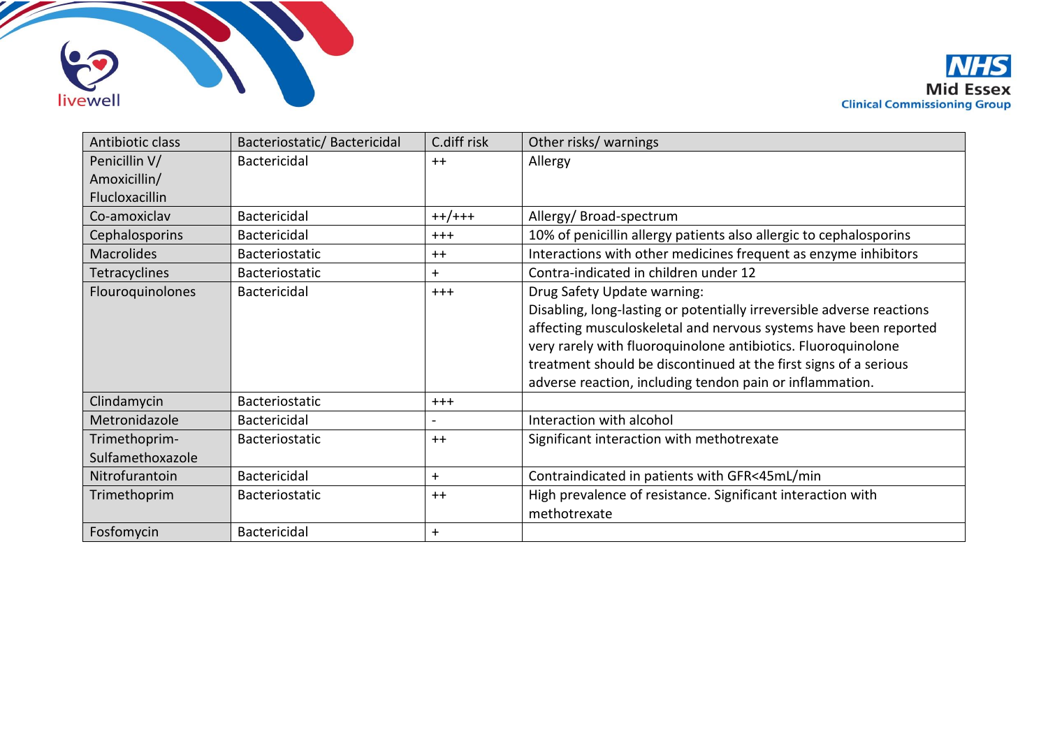



| Antibiotic class     | Bacteriostatic/Bactericidal | C.diff risk | Other risks/ warnings                                                 |
|----------------------|-----------------------------|-------------|-----------------------------------------------------------------------|
| Penicillin V/        | <b>Bactericidal</b>         | $++$        | Allergy                                                               |
| Amoxicillin/         |                             |             |                                                                       |
| Flucloxacillin       |                             |             |                                                                       |
| Co-amoxiclav         | <b>Bactericidal</b>         | $++/++$     | Allergy/Broad-spectrum                                                |
| Cephalosporins       | <b>Bactericidal</b>         | $+++$       | 10% of penicillin allergy patients also allergic to cephalosporins    |
| <b>Macrolides</b>    | Bacteriostatic              | $++$        | Interactions with other medicines frequent as enzyme inhibitors       |
| <b>Tetracyclines</b> | Bacteriostatic              | $+$         | Contra-indicated in children under 12                                 |
| Flouroquinolones     | <b>Bactericidal</b>         | $+++$       | Drug Safety Update warning:                                           |
|                      |                             |             | Disabling, long-lasting or potentially irreversible adverse reactions |
|                      |                             |             | affecting musculoskeletal and nervous systems have been reported      |
|                      |                             |             | very rarely with fluoroquinolone antibiotics. Fluoroquinolone         |
|                      |                             |             | treatment should be discontinued at the first signs of a serious      |
|                      |                             |             | adverse reaction, including tendon pain or inflammation.              |
| Clindamycin          | Bacteriostatic              | $+ + +$     |                                                                       |
| Metronidazole        | <b>Bactericidal</b>         |             | Interaction with alcohol                                              |
| Trimethoprim-        | <b>Bacteriostatic</b>       | $++$        | Significant interaction with methotrexate                             |
| Sulfamethoxazole     |                             |             |                                                                       |
| Nitrofurantoin       | <b>Bactericidal</b>         | $+$         | Contraindicated in patients with GFR<45mL/min                         |
| Trimethoprim         | <b>Bacteriostatic</b>       | $++$        | High prevalence of resistance. Significant interaction with           |
|                      |                             |             | methotrexate                                                          |
| Fosfomycin           | Bactericidal                | $\ddot{}$   |                                                                       |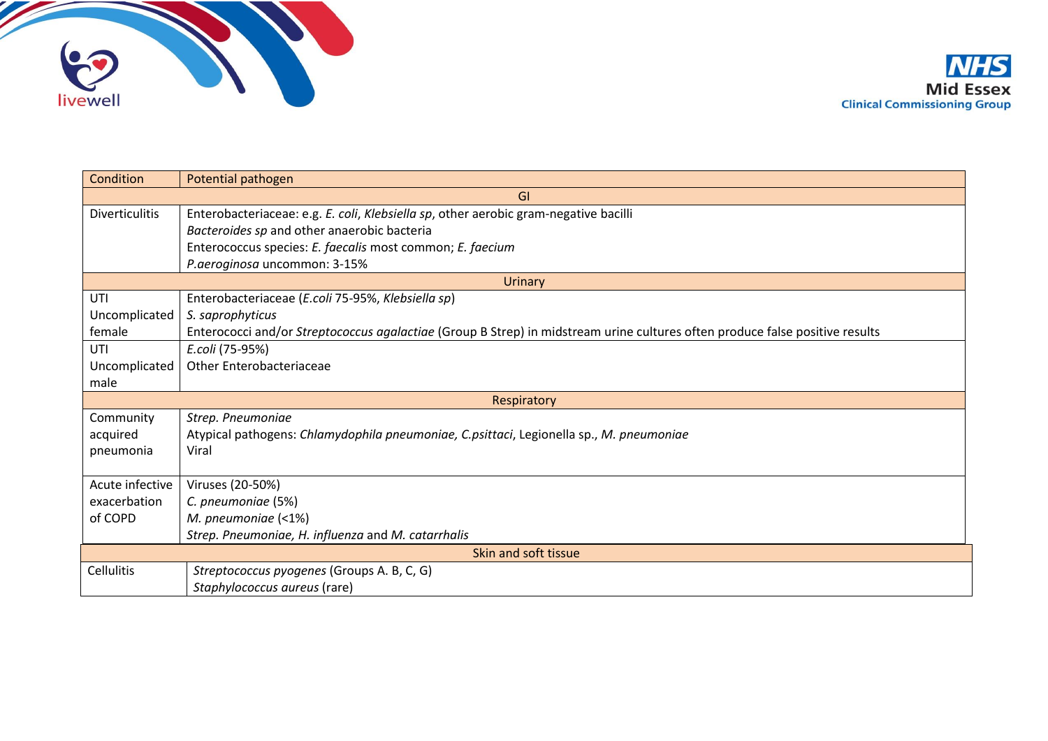

| <b>Condition</b>      | Potential pathogen                                                                                                           |  |  |  |  |  |
|-----------------------|------------------------------------------------------------------------------------------------------------------------------|--|--|--|--|--|
| GI                    |                                                                                                                              |  |  |  |  |  |
| <b>Diverticulitis</b> | Enterobacteriaceae: e.g. E. coli, Klebsiella sp, other aerobic gram-negative bacilli                                         |  |  |  |  |  |
|                       | Bacteroides sp and other anaerobic bacteria                                                                                  |  |  |  |  |  |
|                       | Enterococcus species: E. faecalis most common; E. faecium                                                                    |  |  |  |  |  |
|                       | P.aeroginosa uncommon: 3-15%                                                                                                 |  |  |  |  |  |
|                       | <b>Urinary</b>                                                                                                               |  |  |  |  |  |
| UTI                   | Enterobacteriaceae (E.coli 75-95%, Klebsiella sp)                                                                            |  |  |  |  |  |
| Uncomplicated         | S. saprophyticus                                                                                                             |  |  |  |  |  |
| female                | Enterococci and/or Streptococcus agalactiae (Group B Strep) in midstream urine cultures often produce false positive results |  |  |  |  |  |
| UTI                   | E.coli (75-95%)                                                                                                              |  |  |  |  |  |
| Uncomplicated         | Other Enterobacteriaceae                                                                                                     |  |  |  |  |  |
| male                  |                                                                                                                              |  |  |  |  |  |
| Respiratory           |                                                                                                                              |  |  |  |  |  |
| Community             | Strep. Pneumoniae                                                                                                            |  |  |  |  |  |
| acquired              | Atypical pathogens: Chlamydophila pneumoniae, C.psittaci, Legionella sp., M. pneumoniae                                      |  |  |  |  |  |
| pneumonia             | Viral                                                                                                                        |  |  |  |  |  |
|                       |                                                                                                                              |  |  |  |  |  |
| Acute infective       | Viruses (20-50%)                                                                                                             |  |  |  |  |  |
| exacerbation          | C. pneumoniae (5%)                                                                                                           |  |  |  |  |  |
| of COPD               | M. pneumoniae (<1%)                                                                                                          |  |  |  |  |  |
|                       | Strep. Pneumoniae, H. influenza and M. catarrhalis                                                                           |  |  |  |  |  |
| Skin and soft tissue  |                                                                                                                              |  |  |  |  |  |
| <b>Cellulitis</b>     | Streptococcus pyogenes (Groups A. B, C, G)                                                                                   |  |  |  |  |  |
|                       | Staphylococcus aureus (rare)                                                                                                 |  |  |  |  |  |